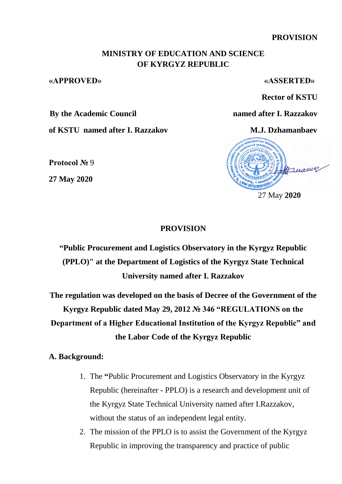**PROVISION** 

## **MINISTRY OF EDUCATION AND SCIENCE OF KYRGYZ REPUBLIC**

#### **«APPROVED» «ASSERTED»**

**Rector of KSTU** 

**By the Academic Council named after I. Razzakov**

**of KSTU named after I. Razzakov M.J. Dzhamanbaev**

**Protocol №** 9

**27 May 2020**

# Freearen 27 May **2020**

### **PROVISION**

**"Public Procurement and Logistics Observatory in the Kyrgyz Republic (PPLO)" at the Department of Logistics of the Kyrgyz State Technical University named after I. Razzakov**

**The regulation was developed on the basis of Decree of the Government of the Kyrgyz Republic dated May 29, 2012 № 346 "REGULATIONS on the Department of a Higher Educational Institution of the Kyrgyz Republic" and the Labor Code of the Kyrgyz Republic**

**A. Background:**

- 1. The **"**Public Procurement and Logistics Observatory in the Kyrgyz Republic (hereinafter - PPLO) is a research and development unit of the Kyrgyz State Technical University named after I.Razzakov, without the status of an independent legal entity.
- 2. The mission of the PPLO is to assist the Government of the Kyrgyz Republic in improving the transparency and practice of public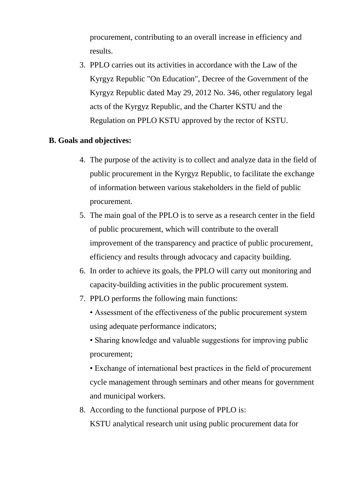procurement, contributing to an overall increase in efficiency and results.

3. PPLO carries out its activities in accordance with the Law of the Kyrgyz Republic "On Education", Decree of the Government of the Kyrgyz Republic dated May 29, 2012 No. 346, other regulatory legal acts of the Kyrgyz Republic, and the Charter KSTU and the Regulation on PPLO KSTU approved by the rector of KSTU.

# **B. Goals and objectives:**

- 4. The purpose of the activity is to collect and analyze data in the field of public procurement in the Kyrgyz Republic, to facilitate the exchange of information between various stakeholders in the field of public procurement.
- 5. The main goal of the PPLO is to serve as a research center in the field of public procurement, which will contribute to the overall improvement of the transparency and practice of public procurement, efficiency and results through advocacy and capacity building.
- 6. In order to achieve its goals, the PPLO will carry out monitoring and capacity-building activities in the public procurement system.
- 7. PPLO performs the following main functions:

• Assessment of the effectiveness of the public procurement system using adequate performance indicators;

• Sharing knowledge and valuable suggestions for improving public procurement;

• Exchange of international best practices in the field of procurement cycle management through seminars and other means for government and municipal workers.

8. According to the functional purpose of PPLO is: KSTU analytical research unit using public procurement data for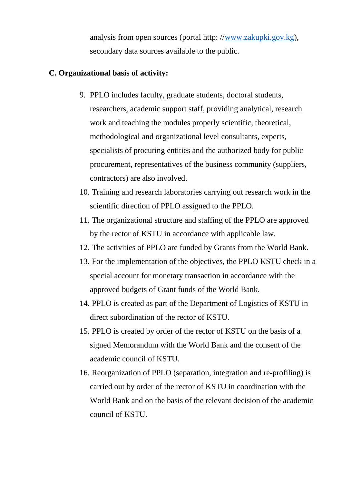analysis from open sources (portal http: [//www.zakupki.gov.kg](http://www.zakupki.gov.kg/)), secondary data sources available to the public.

# **C. Organizational basis of activity:**

- 9. PPLO includes faculty, graduate students, doctoral students, researchers, academic support staff, providing analytical, research work and teaching the modules properly scientific, theoretical, methodological and organizational level consultants, experts, specialists of procuring entities and the authorized body for public procurement, representatives of the business community (suppliers, contractors) are also involved.
- 10. Training and research laboratories carrying out research work in the scientific direction of PPLO assigned to the PPLO.
- 11. The organizational structure and staffing of the PPLO are approved by the rector of KSTU in accordance with applicable law.
- 12. The activities of PPLO are funded by Grants from the World Bank.
- 13. For the implementation of the objectives, the PPLO KSTU check in a special account for monetary transaction in accordance with the approved budgets of Grant funds of the World Bank.
- 14. PPLO is created as part of the Department of Logistics of KSTU in direct subordination of the rector of KSTU.
- 15. PPLO is created by order of the rector of KSTU on the basis of a signed Memorandum with the World Bank and the consent of the academic council of KSTU.
- 16. Reorganization of PPLO (separation, integration and re-profiling) is carried out by order of the rector of KSTU in coordination with the World Bank and on the basis of the relevant decision of the academic council of KSTU.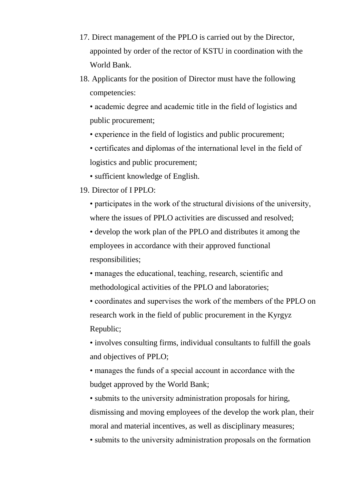- 17. Direct management of the PPLO is carried out by the Director, appointed by order of the rector of KSTU in coordination with the World Bank.
- 18. Applicants for the position of Director must have the following competencies:

• academic degree and academic title in the field of logistics and public procurement;

• experience in the field of logistics and public procurement;

• certificates and diplomas of the international level in the field of logistics and public procurement;

• sufficient knowledge of English.

#### 19. Director of I PPLO:

• participates in the work of the structural divisions of the university, where the issues of PPLO activities are discussed and resolved;

• develop the work plan of the PPLO and distributes it among the employees in accordance with their approved functional responsibilities;

• manages the educational, teaching, research, scientific and methodological activities of the PPLO and laboratories;

• coordinates and supervises the work of the members of the PPLO on research work in the field of public procurement in the Kyrgyz Republic;

• involves consulting firms, individual consultants to fulfill the goals and objectives of PPLO;

• manages the funds of a special account in accordance with the budget approved by the World Bank;

• submits to the university administration proposals for hiring, dismissing and moving employees of the develop the work plan, their moral and material incentives, as well as disciplinary measures;

• submits to the university administration proposals on the formation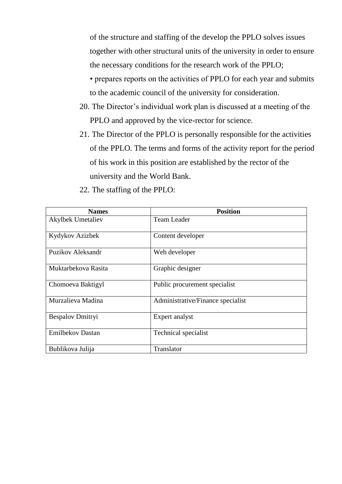of the structure and staffing of the develop the PPLO solves issues together with other structural units of the university in order to ensure the necessary conditions for the research work of the PPLO;

• prepares reports on the activities of PPLO for each year and submits to the academic council of the university for consideration.

- 20. The Director's individual work plan is discussed at a meeting of the PPLO and approved by the vice-rector for science.
- 21. The Director of the PPLO is personally responsible for the activities of the PPLO. The terms and forms of the activity report for the period of his work in this position are established by the rector of the university and the World Bank.

| <b>Names</b>             | <b>Position</b>                   |  |
|--------------------------|-----------------------------------|--|
| <b>Akylbek Umetaliev</b> | Team Leader                       |  |
| Kydykov Azizbek          | Content developer                 |  |
| Puzikov Aleksandr        | Web developer                     |  |
| Muktarbekova Rasita      | Graphic designer                  |  |
| Chomoeva Baktigyl        | Public procurement specialist     |  |
| Murzalieva Madina        | Administrative/Finance specialist |  |
| Bespalov Dmitryi         | Expert analyst                    |  |
| <b>Emilbekov Dastan</b>  | Technical specialist              |  |
| Bublikova Julija         | Translator                        |  |

22. The staffing of the PPLO: